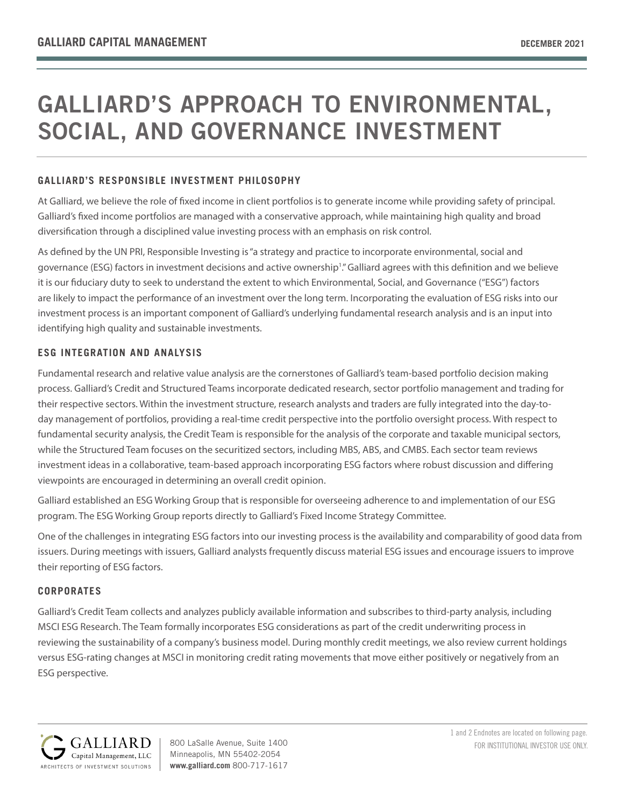# GALLIARD'S APPROACH TO ENVIRONMENTAL, SOCIAL, AND GOVERNANCE INVESTMENT

# **GALLIARD'S RESPONSIBLE INVESTMENT PHILOSOPHY**

At Galliard, we believe the role of fixed income in client portfolios is to generate income while providing safety of principal. Galliard's fixed income portfolios are managed with a conservative approach, while maintaining high quality and broad diversification through a disciplined value investing process with an emphasis on risk control.

As defined by the UN PRI, Responsible Investing is "a strategy and practice to incorporate environmental, social and governance (ESG) factors in investment decisions and active ownership1 ." Galliard agrees with this definition and we believe it is our fiduciary duty to seek to understand the extent to which Environmental, Social, and Governance ("ESG") factors are likely to impact the performance of an investment over the long term. Incorporating the evaluation of ESG risks into our investment process is an important component of Galliard's underlying fundamental research analysis and is an input into identifying high quality and sustainable investments.

# **ESG INTEGRATION AND ANALYSIS**

Fundamental research and relative value analysis are the cornerstones of Galliard's team-based portfolio decision making process. Galliard's Credit and Structured Teams incorporate dedicated research, sector portfolio management and trading for their respective sectors. Within the investment structure, research analysts and traders are fully integrated into the day-today management of portfolios, providing a real-time credit perspective into the portfolio oversight process. With respect to fundamental security analysis, the Credit Team is responsible for the analysis of the corporate and taxable municipal sectors, while the Structured Team focuses on the securitized sectors, including MBS, ABS, and CMBS. Each sector team reviews investment ideas in a collaborative, team-based approach incorporating ESG factors where robust discussion and differing viewpoints are encouraged in determining an overall credit opinion.

Galliard established an ESG Working Group that is responsible for overseeing adherence to and implementation of our ESG program. The ESG Working Group reports directly to Galliard's Fixed Income Strategy Committee.

One of the challenges in integrating ESG factors into our investing process is the availability and comparability of good data from issuers. During meetings with issuers, Galliard analysts frequently discuss material ESG issues and encourage issuers to improve their reporting of ESG factors.

# **CORPORATES**

Galliard's Credit Team collects and analyzes publicly available information and subscribes to third-party analysis, including MSCI ESG Research. The Team formally incorporates ESG considerations as part of the credit underwriting process in reviewing the sustainability of a company's business model. During monthly credit meetings, we also review current holdings versus ESG-rating changes at MSCI in monitoring credit rating movements that move either positively or negatively from an ESG perspective.



Minneapolis, MN 55402-2054 **www.galliard.com** 800-717-1617